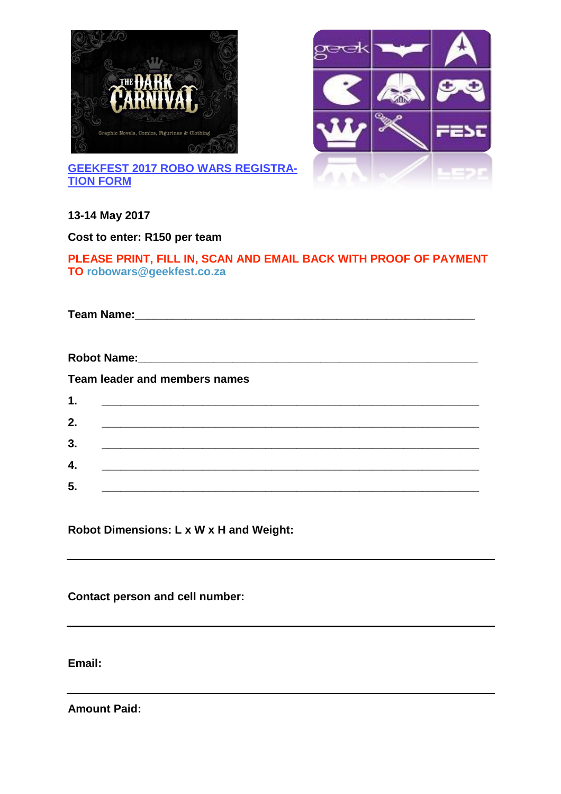



**GEEKFEST 2017 ROBO WARS REGISTRA-TION FORM**

# **13-14 May 2017**

**Cost to enter: R150 per team**

### **PLEASE PRINT, FILL IN, SCAN AND EMAIL BACK WITH PROOF OF PAYMENT TO robowars@geekfest.co.za**

**Team Name: Name:** *Name:* **<b>***Name: Name: Name: Name: Name: Name: Name: Name: Name: Name: Name: Name: Name: Name: Name: Name: Name: Name: Name:*

**Robot Name: Name:** *Robot Name:* **Team leader and members names 1. \_\_\_\_\_\_\_\_\_\_\_\_\_\_\_\_\_\_\_\_\_\_\_\_\_\_\_\_\_\_\_\_\_\_\_\_\_\_\_\_\_\_\_\_\_\_\_\_\_\_\_\_\_\_\_\_\_\_\_\_ 2. \_\_\_\_\_\_\_\_\_\_\_\_\_\_\_\_\_\_\_\_\_\_\_\_\_\_\_\_\_\_\_\_\_\_\_\_\_\_\_\_\_\_\_\_\_\_\_\_\_\_\_\_\_\_\_\_\_\_\_\_ 3. \_\_\_\_\_\_\_\_\_\_\_\_\_\_\_\_\_\_\_\_\_\_\_\_\_\_\_\_\_\_\_\_\_\_\_\_\_\_\_\_\_\_\_\_\_\_\_\_\_\_\_\_\_\_\_\_\_\_\_\_**

| 4. |  |  |
|----|--|--|
| Б. |  |  |
| J. |  |  |

**Robot Dimensions: L x W x H and Weight:**

**Contact person and cell number:**

**Email:**

**Amount Paid:**